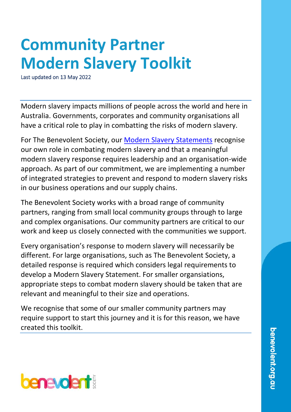# **Community Partner Modern Slavery Toolkit**

Last updated on 13 May 2022

Modern slavery impacts millions of people across the world and here in Australia. Governments, corporates and community organisations all have a critical role to play in combatting the risks of modern slavery.

For The Benevolent Society, our [Modern Slavery Statements](https://www.benevolent.org.au/about-us/human-rights-and-modern-slavery) recognise our own role in combating modern slavery and that a meaningful modern slavery response requires leadership and an organisation-wide approach. As part of our commitment, we are implementing a number of integrated strategies to prevent and respond to modern slavery risks in our business operations and our supply chains.

The Benevolent Society works with a broad range of community partners, ranging from small local community groups through to large and complex organisations. Our community partners are critical to our work and keep us closely connected with the communities we support.

Every organisation's response to modern slavery will necessarily be different. For large organisations, such as The Benevolent Society, a detailed response is required which considers legal requirements to develop a Modern Slavery Statement. For smaller organsiations, appropriate steps to combat modern slavery should be taken that are relevant and meaningful to their size and operations.

We recognise that some of our smaller community partners may require support to start this journey and it is for this reason, we have created this toolkit.

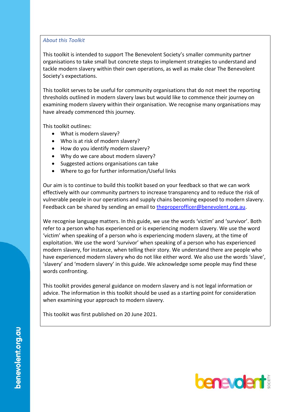### *About this Toolkit*

This toolkit is intended to support The Benevolent Society's smaller community partner organisations to take small but concrete steps to implement strategies to understand and tackle modern slavery within their own operations, as well as make clear The Benevolent Society's expectations.

This toolkit serves to be useful for community organisations that do not meet the reporting thresholds outlined in modern slavery laws but would like to commence their journey on examining modern slavery within their organisation. We recognise many organisations may have already commenced this journey.

This toolkit outlines:

- What is modern slavery?
- Who is at risk of modern slavery?
- How do you identify modern slavery?
- Why do we care about modern slavery?
- Suggested actions organisations can take
- Where to go for further information/Useful links

Our aim is to continue to build this toolkit based on your feedback so that we can work effectively with our community partners to increase transparency and to reduce the risk of vulnerable people in our operations and supply chains becoming exposed to modern slavery. Feedback can be shared by sending an email to [theproperofficer@benevolent.org.au.](mailto:theproperofficer@benevolent.org.au)

We recognise language matters. In this guide, we use the words 'victim' and 'survivor'. Both refer to a person who has experienced or is experiencing modern slavery. We use the word 'victim' when speaking of a person who is experiencing modern slavery, at the time of exploitation. We use the word 'survivor' when speaking of a person who has experienced modern slavery, for instance, when telling their story. We understand there are people who have experienced modern slavery who do not like either word. We also use the words 'slave', 'slavery' and 'modern slavery' in this guide. We acknowledge some people may find these words confronting.

This toolkit provides general guidance on modern slavery and is not legal information or advice. The information in this toolkit should be used as a starting point for consideration when examining your approach to modern slavery.

This toolkit was first published on 20 June 2021.

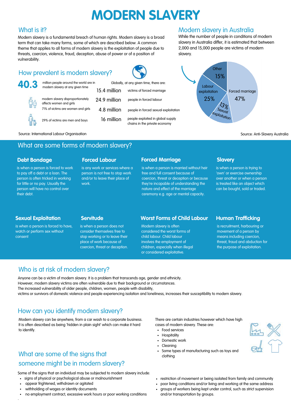## **MODERN SLAVERY**

### What is it?

Modern slavery is a fundamental breach of human rights. Modern slavery is a broad term that can take many forms, some of which are described below. A common theme that applies to all forms of modern slavery is the exploitation of people due to threats, coercion, violence, fraud, deception, abuse of power or of a position of vulnerability.

While the number of people in conditions of modern slavery in Australia differ, it is estimated that between 2,000 and 15,000 people are victims of modern slavery.

Modern slavery in Australia



Source: International Labour Organisation Source: Anti-Slavery Australia

29% of victims are men and boys

affects women and girls

How prevalent is modern slavery?

### What are some forms of modern slavery?

### **Debt Bondage**

is when a person is forced to work to pay off a debt or a loan. The person is often tricked in working for little or no pay. Usually the person will have no control over their debt.

#### **Forced Labour**

is any work or services where a person is not free to stop work and/or to leave their place of work.

### **Forced Marriage**

is when a person is married without heir free and full consent because of coercion, threat or deception or because they're incapable of understanding the nature and effect of the marriage ceremony e.g. age or mental capacity.

### **Slavery**

is when a person is trying to 'own' or exercise ownership over another or when a person is treated like an object which can be bought, sold or traded.

### **Sexual Exploitation**

is when a person is forced to have, watch or perform sex without consent

#### **Servitude**

is when a person does not consider themselves free to stop working or to leave their place of work because of coercion, threat or deception.

### **Worst Forms of Child Labour**

Modern slavery is often considered the worst forms of child labour. Child labour involves the employment of children, especially when illegal or considered exploitative.

### **Human Trafficking**

is recruitment, harbouring or movement of a person by means including coercion, threat, fraud and abduction for the purpose of exploitation.

### Who is at risk of modern slavery?

Anyone can be a victim of modern slavery. It is a problem that transcends age, gender and ethnicity. However, modern slavery victims are often vulnerable due to their background or circumstances. The increased vulnerability of older people, children, women, people with disability, victims or survivors of domestic violence and people experiencing isolation and loneliness, increases their susceptibility to modern slavery.

### How can you identify modern slavery?

Modern slavery can be anywhere, from a car wash to a corporate business. It is often described as being 'hidden in plain sight' which can make it hard to identify. The services of the services of the services of the services of the services of the services of the services of the services of the services of the services of the services of the services of the services of t

### What are some of the signs that someone might be in modern slavery?

Some of the signs that an individual may be subjected to modern slavery include:

- signs of physical or psychological abuse or malnourishment
- appear frightened, withdrawn or agitated

·

- withholding of wages or identity documents
- no employment contract, excessive work hours or poor working conditions

There are certain industries however which have high cases of modern slavery. These are:

- 
- **Hospitality**
- Domestic work
- Cleaning
- Some types of manufacturing such as toys and clothing



- restriction of movement or being isolated from family and community
- poor living conditions and/or living and working at the same address
- groups of workers being kept under control, such as strict supervision and/or transportation by groups.



**40.3** million people around the world are in modern slavery at any given time 71% of victims are women and girls 15.4 million victims of forced marriage 24.9 million people in forced sexual exploitation people in forced labour 4.8 million 16 million people exploited in global supply chains in the private economy Globally, at any given time, there are: modern slavery disproportionately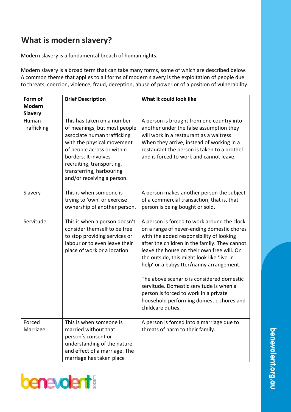## **What is modern slavery?**

Modern slavery is a fundamental breach of human rights.

Modern slavery is a broad term that can take many forms, some of which are described below. A common theme that applies to all forms of modern slavery is the exploitation of people due to threats, coercion, violence, fraud, deception, abuse of power or of a position of vulnerability.

| Form of              | <b>Brief Description</b>                                                                                                                                                                                                                                             | What it could look like                                                                                                                                                                                                                                                                                                                                                                                                                                                                                                          |
|----------------------|----------------------------------------------------------------------------------------------------------------------------------------------------------------------------------------------------------------------------------------------------------------------|----------------------------------------------------------------------------------------------------------------------------------------------------------------------------------------------------------------------------------------------------------------------------------------------------------------------------------------------------------------------------------------------------------------------------------------------------------------------------------------------------------------------------------|
| <b>Modern</b>        |                                                                                                                                                                                                                                                                      |                                                                                                                                                                                                                                                                                                                                                                                                                                                                                                                                  |
| <b>Slavery</b>       |                                                                                                                                                                                                                                                                      |                                                                                                                                                                                                                                                                                                                                                                                                                                                                                                                                  |
| Human<br>Trafficking | This has taken on a number<br>of meanings, but most people<br>associate human trafficking<br>with the physical movement<br>of people across or within<br>borders. It involves<br>recruiting, transporting,<br>transferring, harbouring<br>and/or receiving a person. | A person is brought from one country into<br>another under the false assumption they<br>will work in a restaurant as a waitress.<br>When they arrive, instead of working in a<br>restaurant the person is taken to a brothel<br>and is forced to work and cannot leave.                                                                                                                                                                                                                                                          |
| Slavery              | This is when someone is<br>trying to 'own' or exercise<br>ownership of another person.                                                                                                                                                                               | A person makes another person the subject<br>of a commercial transaction, that is, that<br>person is being bought or sold.                                                                                                                                                                                                                                                                                                                                                                                                       |
| Servitude            | This is when a person doesn't<br>consider themself to be free<br>to stop providing services or<br>labour or to even leave their<br>place of work or a location.                                                                                                      | A person is forced to work around the clock<br>on a range of never-ending domestic chores<br>with the added responsibility of looking<br>after the children in the family. They cannot<br>leave the house on their own free will. On<br>the outside, this might look like 'live-in<br>help' or a babysitter/nanny arrangement.<br>The above scenario is considered domestic<br>servitude. Domestic servitude is when a<br>person is forced to work in a private<br>household performing domestic chores and<br>childcare duties. |
| Forced<br>Marriage   | This is when someone is<br>married without that<br>person's consent or<br>understanding of the nature<br>and effect of a marriage. The<br>marriage has taken place                                                                                                   | A person is forced into a marriage due to<br>threats of harm to their family.                                                                                                                                                                                                                                                                                                                                                                                                                                                    |

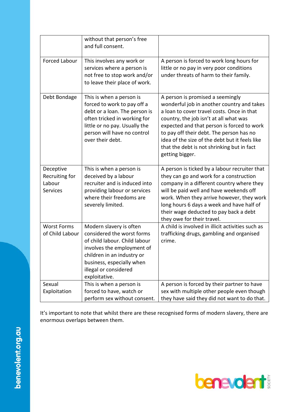|                                                          | without that person's free<br>and full consent.                                                                                                                                                                           |                                                                                                                                                                                                                                                                                                                                                                                     |
|----------------------------------------------------------|---------------------------------------------------------------------------------------------------------------------------------------------------------------------------------------------------------------------------|-------------------------------------------------------------------------------------------------------------------------------------------------------------------------------------------------------------------------------------------------------------------------------------------------------------------------------------------------------------------------------------|
| Forced Labour                                            | This involves any work or<br>services where a person is<br>not free to stop work and/or<br>to leave their place of work.                                                                                                  | A person is forced to work long hours for<br>little or no pay in very poor conditions<br>under threats of harm to their family.                                                                                                                                                                                                                                                     |
| Debt Bondage                                             | This is when a person is<br>forced to work to pay off a<br>debt or a loan. The person is<br>often tricked in working for<br>little or no pay. Usually the<br>person will have no control<br>over their debt.              | A person is promised a seemingly<br>wonderful job in another country and takes<br>a loan to cover travel costs. Once in that<br>country, the job isn't at all what was<br>expected and that person is forced to work<br>to pay off their debt. The person has no<br>idea of the size of the debt but it feels like<br>that the debt is not shrinking but in fact<br>getting bigger. |
| Deceptive<br>Recruiting for<br>Labour<br><b>Services</b> | This is when a person is<br>deceived by a labour<br>recruiter and is induced into<br>providing labour or services<br>where their freedoms are<br>severely limited.                                                        | A person is ticked by a labour recruiter that<br>they can go and work for a construction<br>company in a different country where they<br>will be paid well and have weekends off<br>work. When they arrive however, they work<br>long hours 6 days a week and have half of<br>their wage deducted to pay back a debt<br>they owe for their travel.                                  |
| <b>Worst Forms</b><br>of Child Labour                    | Modern slavery is often<br>considered the worst forms<br>of child labour. Child labour<br>involves the employment of<br>children in an industry or<br>business, especially when<br>illegal or considered<br>exploitative. | A child is involved in illicit activities such as<br>trafficking drugs, gambling and organised<br>crime.                                                                                                                                                                                                                                                                            |
| Sexual<br>Exploitation                                   | This is when a person is<br>forced to have, watch or<br>perform sex without consent.                                                                                                                                      | A person is forced by their partner to have<br>sex with multiple other people even though<br>they have said they did not want to do that.                                                                                                                                                                                                                                           |

It's important to note that whilst there are these recognised forms of modern slavery, there are enormous overlaps between them.

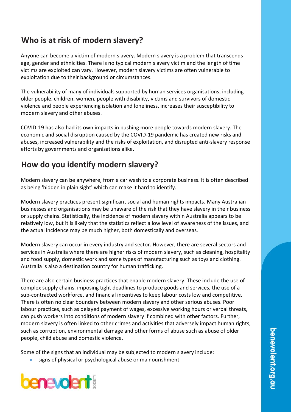### **Who is at risk of modern slavery?**

Anyone can become a victim of modern slavery. Modern slavery is a problem that transcends age, gender and ethnicities. There is no typical modern slavery victim and the length of time victims are exploited can vary. However, modern slavery victims are often vulnerable to exploitation due to their background or circumstances.

The vulnerability of many of individuals supported by human services organisations, including older people, children, women, people with disability, victims and survivors of domestic violence and people experiencing isolation and loneliness, increases their susceptibility to modern slavery and other abuses.

COVID-19 has also had its own impacts in pushing more people towards modern slavery. The economic and social disruption caused by the COVID-19 pandemic has created new risks and abuses, increased vulnerability and the risks of exploitation, and disrupted anti-slavery response efforts by governments and organisations alike.

### **How do you identify modern slavery?**

Modern slavery can be anywhere, from a car wash to a corporate business. It is often described as being 'hidden in plain sight' which can make it hard to identify.

Modern slavery practices present significant social and human rights impacts. Many Australian businesses and organisations may be unaware of the risk that they have slavery in their business or supply chains. Statistically, the incidence of modern slavery within Australia appears to be relatively low, but it is likely that the statistics reflect a low level of awareness of the issues, and the actual incidence may be much higher, both domestically and overseas.

Modern slavery can occur in every industry and sector. However, there are several sectors and services in Australia where there are higher risks of modern slavery, such as cleaning, hospitality and food supply, domestic work and some types of manufacturing such as toys and clothing. Australia is also a destination country for human trafficking.

There are also certain business practices that enable modern slavery. These include the use of complex supply chains, imposing tight deadlines to produce goods and services, the use of a sub-contracted workforce, and financial incentives to keep labour costs low and competitive. There is often no clear boundary between modern slavery and other serious abuses. Poor labour practices, such as delayed payment of wages, excessive working hours or verbal threats, can push workers into conditions of modern slavery if combined with other factors. Further, modern slavery is often linked to other crimes and activities that adversely impact human rights, such as corruption, environmental damage and other forms of abuse such as abuse of older people, child abuse and domestic violence.

Some of the signs that an individual may be subjected to modern slavery include:

signs of physical or psychological abuse or malnourishment

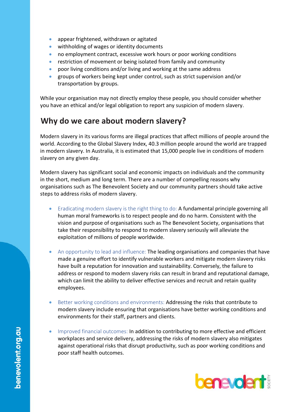- appear frightened, withdrawn or agitated
- withholding of wages or identity documents
- no employment contract, excessive work hours or poor working conditions
- restriction of movement or being isolated from family and community
- poor living conditions and/or living and working at the same address
- groups of workers being kept under control, such as strict supervision and/or transportation by groups.

While your organisation may not directly employ these people, you should consider whether you have an ethical and/or legal obligation to report any suspicion of modern slavery.

### **Why do we care about modern slavery?**

Modern slavery in its various forms are illegal practices that affect millions of people around the world. According to the Global Slavery Index, 40.3 million people around the world are trapped in modern slavery. In Australia, it is estimated that 15,000 people live in conditions of modern slavery on any given day.

Modern slavery has significant social and economic impacts on individuals and the community in the short, medium and long term. There are a number of compelling reasons why organisations such as The Benevolent Society and our community partners should take active steps to address risks of modern slavery.

- Eradicating modern slavery is the right thing to do: A fundamental principle governing all human moral frameworks is to respect people and do no harm. Consistent with the vision and purpose of organisations such as The Benevolent Society, organisations that take their responsibility to respond to modern slavery seriously will alleviate the exploitation of millions of people worldwide.
- An opportunity to lead and influence: The leading organisations and companies that have made a genuine effort to identify vulnerable workers and mitigate modern slavery risks have built a reputation for innovation and sustainability. Conversely, the failure to address or respond to modern slavery risks can result in brand and reputational damage, which can limit the ability to deliver effective services and recruit and retain quality employees.
- Better working conditions and environments: Addressing the risks that contribute to modern slavery include ensuring that organisations have better working conditions and environments for their staff, partners and clients.
- Improved financial outcomes: In addition to contributing to more effective and efficient workplaces and service delivery, addressing the risks of modern slavery also mitigates against operational risks that disrupt productivity, such as poor working conditions and poor staff health outcomes.

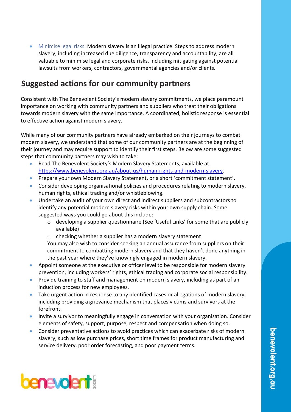• Minimise legal risks: Modern slavery is an illegal practice. Steps to address modern slavery, including increased due diligence, transparency and accountability, are all valuable to minimise legal and corporate risks, including mitigating against potential lawsuits from workers, contractors, governmental agencies and/or clients.

### **Suggested actions for our community partners**

Consistent with The Benevolent Society's modern slavery commitments, we place paramount importance on working with community partners and suppliers who treat their obligations towards modern slavery with the same importance. A coordinated, holistic response is essential to effective action against modern slavery.

While many of our community partners have already embarked on their journeys to combat modern slavery, we understand that some of our community partners are at the beginning of their journey and may require support to identify their first steps. Below are some suggested steps that community partners may wish to take:

- Read The Benevolent Society's Modern Slavery Statements, available at [https://www.benevolent.org.au/about-us/human-rights-and-modern-slavery.](https://www.benevolent.org.au/about-us/human-rights-and-modern-slavery)
- Prepare your own Modern Slavery Statement, or a short 'commitment statement'.
- Consider developing organisational policies and procedures relating to modern slavery, human rights, ethical trading and/or whistleblowing.
- Undertake an audit of your own direct and indirect suppliers and subcontractors to identify any potential modern slavery risks within your own supply chain. Some suggested ways you could go about this include:
	- o developing a supplier questionnaire (See 'Useful Links' for some that are publicly available)
	- o checking whether a supplier has a modern slavery statement

You may also wish to consider seeking an annual assurance from suppliers on their commitment to combatting modern slavery and that they haven't done anything in the past year where they've knowingly engaged in modern slavery.

- Appoint someone at the executive or officer level to be responsible for modern slavery prevention, including workers' rights, ethical trading and corporate social responsibility.
- Provide training to staff and management on modern slavery, including as part of an induction process for new employees.
- Take urgent action in response to any identified cases or allegations of modern slavery, including providing a grievance mechanism that places victims and survivors at the forefront.
- Invite a survivor to meaningfully engage in conversation with your organisation. Consider elements of safety, support, purpose, respect and compensation when doing so.
- Consider preventative actions to avoid practices which can exacerbate risks of modern slavery, such as low purchase prices, short time frames for product manufacturing and service delivery, poor order forecasting, and poor payment terms.

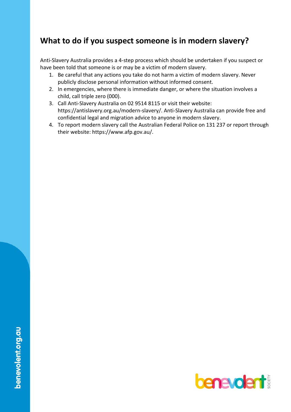### **What to do if you suspect someone is in modern slavery?**

Anti-Slavery Australia provides a 4-step process which should be undertaken if you suspect or have been told that someone is or may be a victim of modern slavery.

- 1. Be careful that any actions you take do not harm a victim of modern slavery. Never publicly disclose personal information without informed consent.
- 2. In emergencies, where there is immediate danger, or where the situation involves a child, call triple zero (000).
- 3. Call Anti-Slavery Australia on 02 9514 8115 or visit their website: https://antislavery.org.au/modern-slavery/. Anti-Slavery Australia can provide free and confidential legal and migration advice to anyone in modern slavery.
- 4. To report modern slavery call the Australian Federal Police on 131 237 or report through their website: https://www.afp.gov.au/.

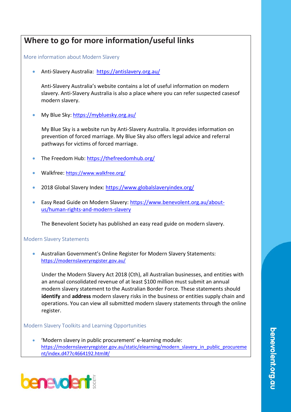### **Where to go for more information/useful links**

More information about Modern Slavery

• Anti-Slavery Australia: <https://antislavery.org.au/>

Anti-Slavery Australia's website contains a lot of useful information on modern slavery. Anti-Slavery Australia is also a place where you can refer suspected casesof modern slavery.

My Blue Sky:<https://mybluesky.org.au/>

My Blue Sky is a website run by Anti-Slavery Australia. It provides information on prevention of forced marriage. My Blue Sky also offers legal advice and referral pathways for victims of forced marriage.

- The Freedom Hub[: https://thefreedomhub.org/](https://thefreedomhub.org/)
- Walkfree: <https://www.walkfree.org/>
- 2018 Global Slavery Index:<https://www.globalslaveryindex.org/>
- Easy Read Guide on Modern Slavery: [https://www.benevolent.org.au/about](https://www.benevolent.org.au/about-us/human-rights-and-modern-slavery)[us/human-rights-and-modern-slavery](https://www.benevolent.org.au/about-us/human-rights-and-modern-slavery)

The Benevolent Society has published an easy read guide on modern slavery.

#### Modern Slavery Statements

• Australian Government's Online Register for Modern Slavery Statements: <https://modernslaveryregister.gov.au/>

Under the Modern Slavery Act 2018 (Cth), all Australian businesses, and entities with an annual consolidated revenue of at least \$100 million must submit an annual modern slavery statement to the Australian Border Force. These statements should **identify** and **address** modern slavery risks in the business or entities supply chain and operations. You can view all submitted modern slavery statements through the online register.

#### Modern Slavery Toolkits and Learning Opportunities

• 'Modern slavery in public procurement' e-learning module: [https://modernslaveryregister.gov.au/static/elearning/modern\\_slavery\\_in\\_public\\_procureme](https://modernslaveryregister.gov.au/static/elearning/modern_slavery_in_public_procurement/index.d477c4664192.html#/) [nt/index.d477c4664192.html#/](https://modernslaveryregister.gov.au/static/elearning/modern_slavery_in_public_procurement/index.d477c4664192.html#/)

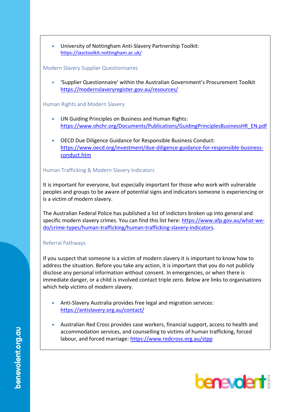• University of Nottingham Anti-Slavery Partnership Toolkit: <https://iasctoolkit.nottingham.ac.uk/>

### Modern Slavery Supplier Questionnaires

• 'Supplier Questionnaire' within the Australian Government's Procurement Toolkit <https://modernslaveryregister.gov.au/resources/>

### Human Rights and Modern Slavery

- UN Guiding Principles on Business and Human Rights: [https://www.ohchr.org/Documents/Publications/GuidingPrinciplesBusinessHR\\_EN.pdf](https://www.ohchr.org/Documents/Publications/GuidingPrinciplesBusinessHR_EN.pdf)
- OECD Due Diligence Guidance for Responsible Business Conduct: [https://www.oecd.org/investment/due-diligence-guidance-for-responsible-business](https://www.oecd.org/investment/due-diligence-guidance-for-responsible-business-conduct.htm)[conduct.htm](https://www.oecd.org/investment/due-diligence-guidance-for-responsible-business-conduct.htm)

### Human Trafficking & Modern Slavery Indicators

It is important for everyone, but especially important for those who work with vulnerable peoples and groups to be aware of potential signs and indicators someone is experiencing or is a victim of modern slavery.

The Australian Federal Police has published a list of indictors broken up into general and specific modern slavery crimes. You can find this list here: [https://www.afp.gov.au/what-we](https://www.afp.gov.au/what-we-do/crime-types/human-trafficking/human-trafficking-slavery-indicators)[do/crime-types/human-trafficking/human-trafficking-slavery-indicators.](https://www.afp.gov.au/what-we-do/crime-types/human-trafficking/human-trafficking-slavery-indicators)

### Referral Pathways

If you suspect that someone is a victim of modern slavery it is important to know how to address the situation. Before you take any action, it is important that you do not publicly disclose any personal information without consent. In emergencies, or when there is immediate danger, or a child is involved contact triple zero. Below are links to organisations which help victims of modern slavery.

- Anti-Slavery Australia provides free legal and migration services: <https://antislavery.org.au/contact/>
- Australian Red Cross provides case workers, financial support, access to health and accommodation services, and counselling to victims of human trafficking, forced labour, and forced marriage: <https://www.redcross.org.au/stpp>